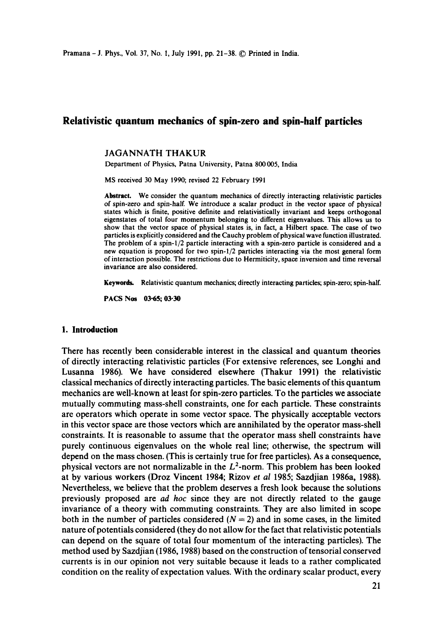# **Relativistic quantum mechanics of spin-zero and spin-half particles**

#### JAGANNATH THAKUR

Department of Physics, Patna University, Patna 800005, India

MS received 30 May 1990; revised 22 February 1991

**Abstract.** We consider the quantum mechanics of directly interacting relativistic particles of spin-zero and spin-half. We introduce a scalar product in the vector space of physical states which is finite, positive definite and relativistically invariant and keeps orthogonal eigenstates of total four momentum belonging to different eigenvalues. This allows us to show that the vector space of physical states is, in fact, a Hiibert space. The case of two particles is explicitly considered and the Cauchy problem of physical wave function illustrated. The problem of a spin-1/2 particle interacting with a spin-zero particle is considered and a new equation is proposed for two spin-l/2 particles interacting via the most general form of interaction possible. The restrictions due to Hermiticity, space inversion and time reversal invariance are also considered.

Keywords. Relativistic quantum mechanics; directly interacting particles; spin-zero; spin-half.

PACS Nos 03-65; 03-30

### **1. Introduction**

There has recently been considerable interest in the classical and quantum theories of directly interacting relativistic particles (For extensive references, see Longhi and Lusanna 1986). We have considered elsewhere (Thakur 1991) the relativistic classical mechanics of directly interacting particles. The basic elements of this quantum mechanics are well-known at least for spin-zero particles. To the particles we associate mutually commuting mass-shell constraints, one for each particle. These constraints are operators which operate in some vector space. The physically acceptable vectors in this vector space are those vectors which are annihilated by the operator mass-shell constraints. It is reasonable to assume that the operator mass shell constraints have purely continuous eigenvalues on the whole real line; otherwise, the spectrum will depend on the mass chosen. (This is certainly true for free particles). As a consequence, physical vectors are not normalizable in the  $L^2$ -norm. This problem has been looked at by various workers (Droz Vincent 1984; Rizov *et al* 1985; Sazdjian 1986a, 1988). Nevertheless, we believe that the problem deserves a fresh look because the solutions previously proposed are *ad hoc* since they are not directly related to the gauge invariance of a theory with commuting constraints. They are also limited in scope both in the number of particles considered  $(N = 2)$  and in some cases, in the limited nature of potentials considered (they do not allow for the fact that relativistic potentials can depend on the square of total four momentum of the interacting particles). The method used by Sazdjian (1986, 1988) based on the construction of tensorial conserved currents is in our opinion not very suitable because it leads to a rather complicated condition on the reality of expectation values. With the ordinary scalar product, every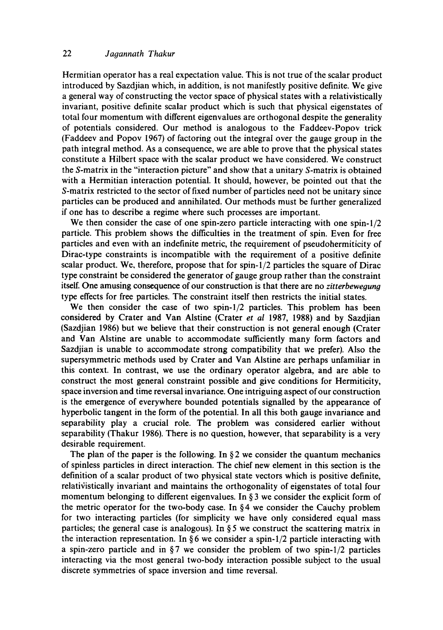# 22 *Jagannath Thakur*

Hermitian operator has a real expectation value. This is not true of the scalar product introduced by Sazdjian which, in addition, is not manifestly positive definite. We give a general way of constructing the vector space of physical states with a relativistically invariant, positive definite scalar product which is such that physical eigenstates of total four momentum with different eigenvalues are orthogonal despite the generality of potentials considered. Our method is analogous to the Faddeev-Popov trick (Faddeev and Popov 1967) of factoring out the integral over the gauge group in the path integral method. As a consequence, we are able to prove that the physical states constitute a Hilbert space with the scalar product we have considered. We construct the S-matrix in the "interaction picture" and show that a unitary S-matrix is obtained with a Hermitian interaction potential. It should, however, be pointed out that the S-matrix restricted to the sector of fixed number of particles need not be unitary since particles can be produced and annihilated. Our methods must be further generalized if one has to describe a regime where such processes are important.

We then consider the case of one spin-zero particle interacting with one spin-1/2 particle. This problem shows the difficulties in the treatment of spin. Even for free particles and even with an indefinite metric, the requirement of pseudohermiticity of Dirac-type constraints is incompatible with the requirement of a positive definite scalar product. We, therefore, propose that for spin- $1/2$  particles the square of Dirac type constraint be considered the generator of gauge group rather than the constraint itself. One amusing consequence of our construction is that there are no *zitterbewegung*  type effects for free particles. The constraint itself then restricts the initial states.

We then consider the case of two spin-l/2 particles. This problem has been considered by Crater and Van Alstine (Crater *et al* 1987, 1988) and by Sazdjian (Sazdjian 1986) but we believe that their construction is not general enough (Crater and Van Alstine are unable to accommodate sufficiently many form factors and Sazdjian is unable to accommodate strong compatibility that we prefer). Also the supersymmetric methods used by Crater and Van Alstine are perhaps unfamiliar in this context. In contrast, we use the ordinary operator algebra, and are able to construct the most general constraint possible and give conditions for Hermiticity, space inversion and time reversal invariance. One intriguing aspect of our construction is the emergence of everywhere bounded potentials signalled by the appearance of hyperbolic tangent in the form of the potential. In all this both gauge invariance and separability play a crucial role. The problem was considered earlier without separability (Thakur 1986). There is no question, however, that separability is a very desirable requirement.

The plan of the paper is the following. In  $\S 2$  we consider the quantum mechanics of spinless particles in direct interaction. The chief new element in this section is the definition of a scalar product of two physical state vectors which is positive definite, relativistically invariant and maintains the orthogonality of eigenstates of total four momentum belonging to different eigenvalues. In § 3 we consider the explicit form of the metric operator for the two-body case. In §4 we consider the Cauchy problem for two interacting particles (for simplicity we have only considered equal mass particles; the general case is analogous). In  $\S 5$  we construct the scattering matrix in the interaction representation. In  $\S 6$  we consider a spin-1/2 particle interacting with a spin-zero particle and in  $\S7$  we consider the problem of two spin-1/2 particles interacting via the most general two-body interaction possible subject to the usual discrete symmetries of space inversion and time reversal.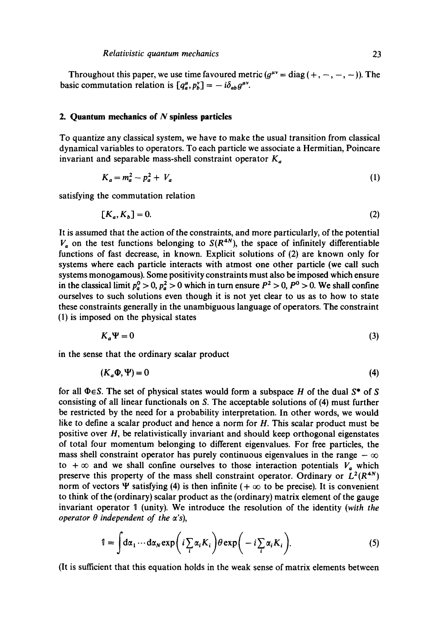Throughout this paper, we use time favoured metric  $(g^{\mu\nu} = \text{diag}(+, -, -, -))$ . The basic commutation relation is  $[q_a^{\mu}, p_b^{\nu}] = -i\delta_{ab}g^{\mu\nu}$ .

#### **2. Quantum mechanics of N spinless particles**

To quantize any classical system, we have to make the usual transition from classical dynamical variables to operators. To each particle we associate a Hermitian, Poincare invariant and separable mass-shell constraint operator  $K_a$ 

$$
K_a = m_a^2 - p_a^2 + V_a \tag{1}
$$

satisfying the commutation relation

$$
[K_a, K_b] = 0. \tag{2}
$$

It is assumed that the action of the constraints, and more particularly, of the potential  $V_a$  on the test functions belonging to  $S(R^{4N})$ , the space of infinitely differentiable functions of fast decrease, in known. Explicit solutions of (2) are known only for systems where each particle interacts with atmost one other particle (we call such systems monogamous). Some positivity constraints must also be imposed which ensure in the classical limit  $p_a^0 > 0$ ,  $p_a^2 > 0$  which in turn ensure  $P^2 > 0$ ,  $P^0 > 0$ . We shall confine ourselves to such solutions even though it is not yet clear to us as to how to state these constraints generally in the unambiguous language of operators. The constraint (1) is imposed on the physical states

$$
K_a \Psi = 0 \tag{3}
$$

in the sense that the ordinary scalar product

$$
(K_a \Phi, \Psi) = 0 \tag{4}
$$

for all  $\Phi \in S$ . The set of physical states would form a subspace H of the dual  $S^*$  of S consisting of all linear functionais on S. The acceptable solutions of (4) must further be restricted by the need for a probability interpretation. In other words, we would like to define a scalar product and hence a norm for H. This scalar product must be positive over H, be relativistically invariant and should keep orthogonal eigenstates of total four momentum belonging to different eigenvalues. For free particles, the mass shell constraint operator has purely continuous eigenvalues in the range  $-\infty$ to  $+\infty$  and we shall confine ourselves to those interaction potentials  $V_a$  which preserve this property of the mass shell constraint operator. Ordinary or  $L^2(R^{4N})$ norm of vectors  $\Psi$  satisfying (4) is then infinite ( $+\infty$  to be precise). It is convenient to think of the (ordinary) scalar product as the (ordinary) matrix element of the gauge invariant operator 1 (unity). We introduce the resolution of the identity *(with the operator*  $\theta$  *independent of the*  $\alpha$ *'s),* 

$$
\mathbb{1} = \int d\alpha_1 \cdots d\alpha_N \exp\bigg(i \sum_i \alpha_i K_i\bigg) \theta \exp\bigg(-i \sum_i \alpha_i K_i\bigg). \tag{5}
$$

(It is sufficient that this equation holds in the weak sense of matrix elements between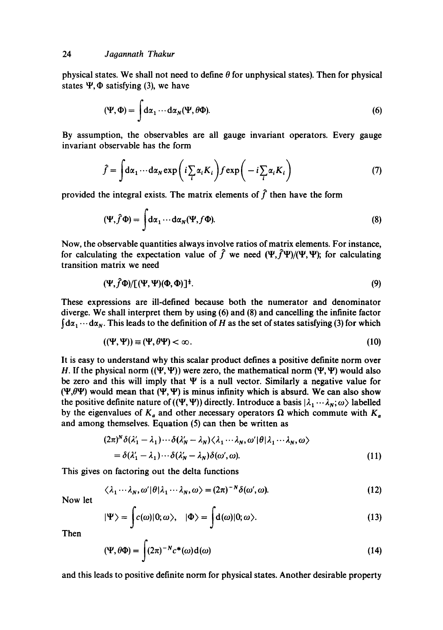physical states. We shall not need to define  $\theta$  for unphysical states). Then for physical states  $\Psi$ ,  $\Phi$  satisfying (3), we have

$$
(\Psi, \Phi) = \int d\alpha_1 \cdots d\alpha_N (\Psi, \theta \Phi). \tag{6}
$$

By assumption, the observables are all gauge invariant operators. Every gauge invariant observable has the form

$$
\hat{f} = \int d\alpha_1 \cdots d\alpha_N \exp\left(i \sum_i \alpha_i K_i\right) f \exp\left(-i \sum_i \alpha_i K_i\right) \tag{7}
$$

provided the integral exists. The matrix elements of  $\hat{f}$  then have the form

$$
(\Psi, \hat{f}\Phi) = \int d\alpha_1 \cdots d\alpha_N (\Psi, f\Phi). \tag{8}
$$

Now, the observable quantities always involve ratios of matrix elements. For instance, for calculating the expectation value of  $\hat{f}$  we need  $(\Psi, \hat{f}\Psi)/( \Psi, \Psi)$ ; for calculating transition matrix we need

$$
(\Psi, \hat{f}\Phi)/[(\Psi, \Psi)(\Phi, \Phi)]^{\frac{1}{2}}.
$$
\n(9)

These expressions are ill-defined because both the numerator and denominator diverge. We shall interpret them by using (6) and (8) and cancelling the infinite factor  $\int d\alpha_1 \cdots d\alpha_N$ . This leads to the definition of H as the set of states satisfying (3) for which

$$
((\Psi, \Psi)) \equiv (\Psi, \theta \Psi) < \infty. \tag{10}
$$

It is easy to understand why this scalar product defines a positive definite norm over H. If the physical norm  $((\Psi, \Psi))$  were zero, the mathematical norm  $(\Psi, \Psi)$  would also be zero and this will imply that  $\Psi$  is a null vector. Similarly a negative value for  $(\Psi,\theta\Psi)$  would mean that  $(\Psi,\Psi)$  is minus infinity which is absurd. We can also show the positive definite nature of (( $\Psi$ ,  $\Psi$ )) directly. Introduce a basis  $|\lambda_1 \cdots \lambda_N; \omega\rangle$  labelled by the eigenvalues of  $K_a$  and other necessary operators  $\Omega$  which commute with  $K_a$ and among themselves. Equation (5) can then be written as

$$
(2\pi)^N \delta(\lambda'_1 - \lambda_1) \cdots \delta(\lambda'_N - \lambda_N) \langle \lambda_1 \cdots \lambda_N, \omega' | \theta | \lambda_1 \cdots \lambda_N, \omega \rangle
$$
  
=  $\delta(\lambda'_1 - \lambda_1) \cdots \delta(\lambda'_N - \lambda_N) \delta(\omega', \omega).$  (11)

This gives on factoring out the delta functions

$$
\langle \lambda_1 \cdots \lambda_N, \omega' | \theta | \lambda_1 \cdots \lambda_N, \omega \rangle = (2\pi)^{-N} \delta(\omega', \omega).
$$
 (12)

Now let

$$
|\Psi\rangle = \int c(\omega)|0;\omega\rangle, \quad |\Phi\rangle = \int d(\omega)|0;\omega\rangle. \tag{13}
$$

Then

$$
(\Psi, \theta \Phi) = \int (2\pi)^{-N} c^*(\omega) d(\omega)
$$
 (14)

and this leads to positive definite norm for physical states. Another desirable property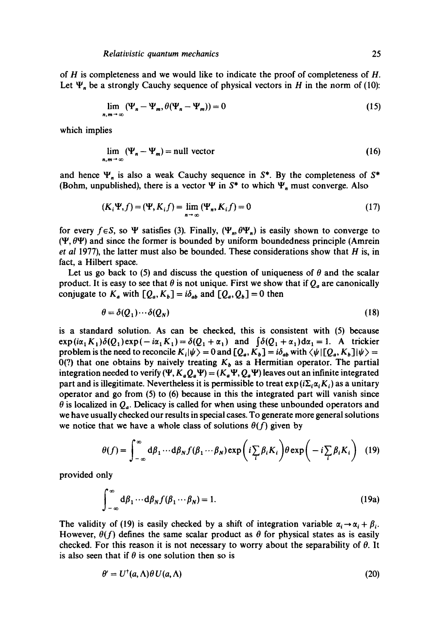of H is completeness and we would like to indicate the proof of completeness of H. Let  $\Psi_n$  be a strongly Cauchy sequence of physical vectors in H in the norm of (10):

$$
\lim_{n,m \to \infty} (\Psi_n - \Psi_m, \theta(\Psi_n - \Psi_m)) = 0 \tag{15}
$$

which implies

$$
\lim_{n,m \to \infty} (\Psi_n - \Psi_m) = \text{null vector} \tag{16}
$$

and hence  $\Psi_n$  is also a weak Cauchy sequence in  $S^*$ . By the completeness of  $S^*$ (Bohm, unpublished), there is a vector  $\Psi$  in  $S^*$  to which  $\Psi_n$  must converge. Also

$$
(K_i \Psi, f) = (\Psi, K_i f) = \lim_{n \to \infty} (\Psi_n, K_i f) = 0 \tag{17}
$$

for every  $f \in S$ , so  $\Psi$  satisfies (3). Finally,  $(\Psi_m, \theta \Psi_n)$  is easily shown to converge to  $(\Psi, \theta \Psi)$  and since the former is bounded by uniform boundedness principle (Amrein *et al* 1977), the latter must also be bounded. These considerations show that H is, in fact, a Hilbert space.

Let us go back to (5) and discuss the question of uniqueness of  $\theta$  and the scalar product. It is easy to see that  $\theta$  is not unique. First we show that if  $Q_a$  are canonically conjugate to  $K_a$  with  $[Q_a, K_b] = i\delta_{ab}$  and  $[Q_a, Q_b] = 0$  then

$$
\theta = \delta(Q_1) \cdots \delta(Q_N) \tag{18}
$$

is a standard solution. As can be checked, this is consistent with (5) because  $exp(i\alpha_1 K_1)\delta(Q_1)exp(-i\alpha_1 K_1)=\delta(Q_1 +\alpha_1)$  and  $\int \delta(Q_1 +\alpha_1)d\alpha_1 = 1$ . A trickier problem is the need to reconcile  $K_i|\psi\rangle = 0$  and  $[Q_a, K_b] = i\delta_{ab}$  with  $\langle \psi | [Q_a, K_b] | \psi \rangle =$ 0(?) that one obtains by naively treating  $K_b$  as a Hermitian operator. The partial integration needed to verify  $(\Psi, K_a Q_a \Psi) = (K_a \Psi, Q_a \Psi)$  leaves out an infinite integrated part and is illegitimate. Nevertheless it is permissible to treat  $exp(i\Sigma_i\alpha_iK_i)$  as a unitary operator and go from (5) to (6) because in this the integrated part will vanish since  $\theta$  is localized in  $Q_a$ . Delicacy is called for when using these unbounded operators and we have usually checked our results in special cases. To generate more general solutions we notice that we have a whole class of solutions  $\theta(f)$  given by

$$
\theta(f) = \int_{-\infty}^{\infty} d\beta_1 \cdots d\beta_N f(\beta_1 \cdots \beta_N) \exp\left(i \sum_i \beta_i K_i\right) \theta \exp\left(-i \sum_i \beta_i K_i\right) \tag{19}
$$

provided only

$$
\int_{-\infty}^{\infty} d\beta_1 \cdots d\beta_N f(\beta_1 \cdots \beta_N) = 1.
$$
 (19a)

The validity of (19) is easily checked by a shift of integration variable  $\alpha_i \rightarrow \alpha_i + \beta_i$ . However,  $\theta(f)$  defines the same scalar product as  $\theta$  for physical states as is easily checked. For this reason it is not necessary to worry about the separability of  $\theta$ . It is also seen that if  $\theta$  is one solution then so is

$$
\theta' = U^{\dagger}(a,\Lambda)\theta\,U(a,\Lambda) \tag{20}
$$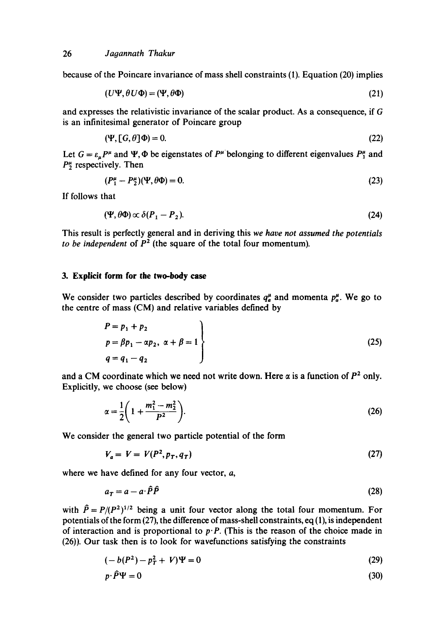because of the Poincare invariance of mass shell constraints (1). Equation (20) implies

$$
(U\Psi, \theta U\Phi) = (\Psi, \theta\Phi) \tag{21}
$$

and expresses the relativistic invariance of the scalar product. As a consequence, if G is an infinitesimal generator of Poincare group

$$
(\Psi, [G, \theta]\Phi) = 0. \tag{22}
$$

Let  $G = \varepsilon_{\mu} P^{\mu}$  and  $\Psi$ ,  $\Phi$  be eigenstates of  $P^{\mu}$  belonging to different eigenvalues  $P^{\mu}$  and  $P_2^{\mu}$  respectively. Then

$$
(P_1^{\mu} - P_2^{\mu})(\Psi, \theta \Phi) = 0. \tag{23}
$$

If follows that

$$
(\Psi, \theta \Phi) \propto \delta(P_1 - P_2). \tag{24}
$$

This result is perfectly general and in deriving this *we have not assumed the potentials to be independent* of  $P^2$  (the square of the total four momentum).

### **3. Explicit form for the two-body case**

We consider two particles described by coordinates  $q_a^{\mu}$  and momenta  $p_a^{\mu}$ . We go to the centre of mass (CM) and relative variables defined by

$$
P = p_1 + p_2 \np = \beta p_1 - \alpha p_2, \ \alpha + \beta = 1 \nq = q_1 - q_2
$$
\n(25)

and a CM coordinate which we need not write down. Here  $\alpha$  is a function of  $P^2$  only. Explicitly, we choose (see below)

$$
\alpha = \frac{1}{2} \left( 1 + \frac{m_1^2 - m_2^2}{P^2} \right).
$$
 (26)

We consider the general two particle potential of the form

$$
V_a = V = V(P^2, p_T, q_T) \tag{27}
$$

where we have defined for any four vector, a,

$$
a_T = a - a \cdot \hat{P} \hat{P}
$$
 (28)

with  $\hat{P} = P/(P^2)^{1/2}$  being a unit four vector along the total four momentum. For potentials of the form (27), the difference of mass-shell constraints, eq **(1),** is independent of interaction and is proportional to  $p \cdot P$ . (This is the reason of the choice made in (26)). Our task then is to look for wavefunctions satisfying the constraints

$$
(-b(P2) - pT2 + V)\Psi = 0
$$
 (29)

$$
p \cdot \hat{P} \Psi = 0 \tag{30}
$$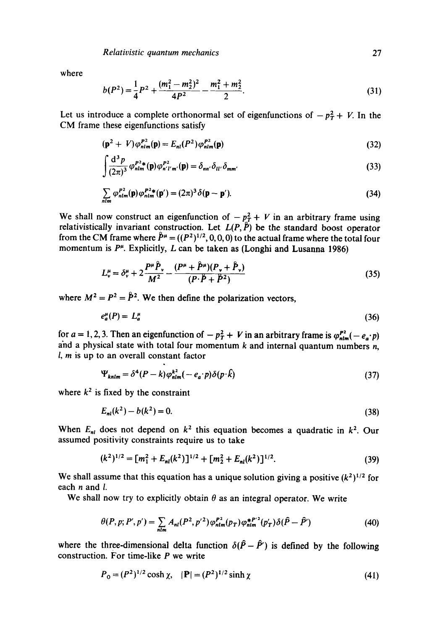where

$$
b(P2) = \frac{1}{4}P2 + \frac{(m_12 - m_22)2}{4P2} - \frac{m_12 + m_22}{2}.
$$
 (31)

Let us introduce a complete orthonormal set of eigenfunctions of  $-p_T^2 + V$ . In the CM frame these eigenfunctions satisfy

$$
\left(\mathbf{p}^2 + V\right)\varphi_{nlm}^{P^2}(\mathbf{p}) = E_{nl}(P^2)\varphi_{nlm}^{P^2}(\mathbf{p})\tag{32}
$$

$$
\int \frac{\mathrm{d}^3 p}{(2\pi)^3} \varphi_{nlm}^{P^2}(\mathbf{p}) \varphi_{n'l'm'}^{P^2}(\mathbf{p}) = \delta_{nn'} \delta_{ll'} \delta_{mm'}
$$
\n(33)

$$
\sum_{nlm} \varphi_{nlm}^{P^2}(\mathbf{p}) \varphi_{nlm}^{P^2*}(\mathbf{p}') = (2\pi)^3 \delta(\mathbf{p} - \mathbf{p}'). \tag{34}
$$

We shall now construct an eigenfunction of  $-p_T^2 + V$  in an arbitrary frame using relativistically invariant construction. Let  $L(P, \tilde{P})$  be the standard boost operator from the CM frame where  $\hat{P}^{\mu} = ((P^2)^{1/2}, 0, 0, 0)$  to the actual frame where the total four momentum is  $P^{\mu}$ . Explicitly, L can be taken as (Longhi and Lusanna 1986)

$$
L_v^{\mu} = \delta_v^{\mu} + 2 \frac{P^{\mu} \ddot{P}_v}{M^2} - \frac{(P^{\mu} + \ddot{P}^{\mu})(P_v + \ddot{P}_v)}{(P \cdot \dot{P} + \ddot{P}^2)}
$$
(35)

where  $M^2 = P^2 = \hat{P}^2$ . We then define the polarization vectors,

$$
e_a^{\mu}(P) = L_a^{\mu} \tag{36}
$$

for  $a = 1, 2, 3$ . Then an eigenfunction of  $-p_T^2 + V$  in an arbitrary frame is  $\varphi_{nlm}^{P2}(-e_a \cdot p)$ and a physical state with total four momentum  $k$  and internal quantum numbers  $n$ , l, m is up to an overall constant factor

$$
\Psi_{\text{knlm}} = \delta^4 (P - k) \varphi_{\text{nlm}}^{k^2} (-e_a \cdot p) \delta(p \cdot k)
$$
\n(37)

where  $k^2$  is fixed by the constraint

$$
E_{nl}(k^2) - b(k^2) = 0.
$$
\n(38)

When  $E_{nl}$  does not depend on  $k^2$  this equation becomes a quadratic in  $k^2$ . Our assumed positivity constraints require us to take

$$
(k2)1/2 = [m12 + Enl(k2)]1/2 + [m22 + Enl(k2)]1/2.
$$
 (39)

We shall assume that this equation has a unique solution giving a positive  $(k^2)^{1/2}$  for each n and I.

We shall now try to explicitly obtain  $\theta$  as an integral operator. We write

$$
\theta(P, p; P', p') = \sum_{n \text{lim}} A_{nl}(P^2, p'^2) \varphi_{nlm}^{P^2}(p_T) \varphi_{nlm}^{*P'^2}(p'_T) \delta(\hat{P} - \hat{P}')
$$
(40)

where the three-dimensional delta function  $\delta(\hat{P} - \hat{P})$  is defined by the following construction. For time-like P we write

$$
P_0 = (P^2)^{1/2} \cosh \chi, \quad |\mathbf{P}| = (P^2)^{1/2} \sinh \chi \tag{41}
$$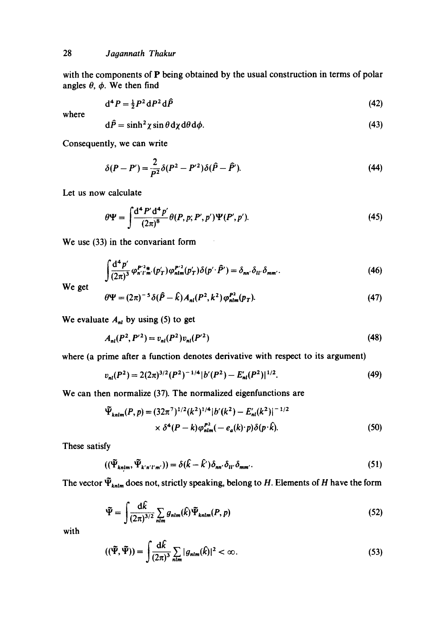with the components of P being obtained by the usual construction in terms of polar angles  $\theta$ ,  $\phi$ . We then find

$$
\mathrm{d}^4 P = \tfrac{1}{2} P^2 \, \mathrm{d} P^2 \, \mathrm{d} \hat{P} \tag{42}
$$

where

$$
d\hat{P} = \sinh^2 \chi \sin \theta \, d\chi \, d\theta \, d\phi. \tag{43}
$$

Consequently, we can write

$$
\delta(P - P') = \frac{2}{P^2} \delta(P^2 - P'^2) \delta(\hat{P} - \hat{P}').
$$
\n(44)

Let us now calculate

$$
\theta \Psi = \int \frac{\mathrm{d}^4 P' \mathrm{d}^4 p'}{(2\pi)^8} \theta(P, p; P', p') \Psi(P', p'). \tag{45}
$$

We use (33) in the convariant form

 $\mathbf{L}^{\text{max}}$ 

$$
\int \frac{\mathrm{d}^4 p'}{(2\pi)^3} \varphi_{n'l'm'}^{P'^2*} (p'_T) \varphi_{nlm}^{P'^2}(p'_T) \delta(p'\cdot \hat{P}') = \delta_{nn'} \delta_{ll'} \delta_{mm'}.
$$
\n(46)

**We get** 

$$
\theta \Psi = (2\pi)^{-5} \delta(\hat{P} - \hat{k}) A_{nl} (P^2, k^2) \varphi_{nlm}^{P^2}(p_T). \tag{47}
$$

We evaluate  $A_{nl}$  by using (5) to get

$$
A_{nl}(P^2, P'^2) = v_{nl}(P^2)v_{nl}(P'^2)
$$
\n(48)

where (a prime after a function denotes derivative with respect to its argument)

$$
v_{nl}(P^2) = 2(2\pi)^{3/2}(P^2)^{-1/4}|b'(P^2) - E'_{nl}(P^2)|^{1/2}.
$$
 (49)

We can then normalize (37). The normalized eigenfunctions are

$$
\tilde{\Psi}_{\text{knlm}}(P,p) = (32\pi^7)^{1/2} (k^2)^{1/4} |b'(k^2) - E'_{\text{nl}}(k^2)|^{-1/2}
$$
  
 
$$
\times \delta^4 (P-k) \varphi_{\text{nlm}}^{P^2}(-e_a(k)^. p) \delta(p \cdot \hat{k}). \tag{50}
$$

These satisfy

$$
((\tilde{\Psi}_{kn|m}, \tilde{\Psi}_{k'n'l'm'})) = \delta(\hat{k} - \hat{k}')\delta_{nn'}\delta_{ll'}\delta_{mm'}.
$$
\n(51)

The vector  $\tilde{\Psi}_{knlm}$  does not, strictly speaking, belong to H. Elements of H have the form

$$
\widetilde{\Psi} = \int \frac{d\widehat{k}}{(2\pi)^{3/2}} \sum_{nlm} g_{nlm}(\widehat{k}) \widetilde{\Psi}_{knlm}(P, p) \tag{52}
$$

with

$$
((\tilde{\Psi}, \tilde{\Psi})) = \int \frac{\mathrm{d}\hat{k}}{(2\pi)^3} \sum_{nlm} |g_{nlm}(\hat{k})|^2 < \infty. \tag{53}
$$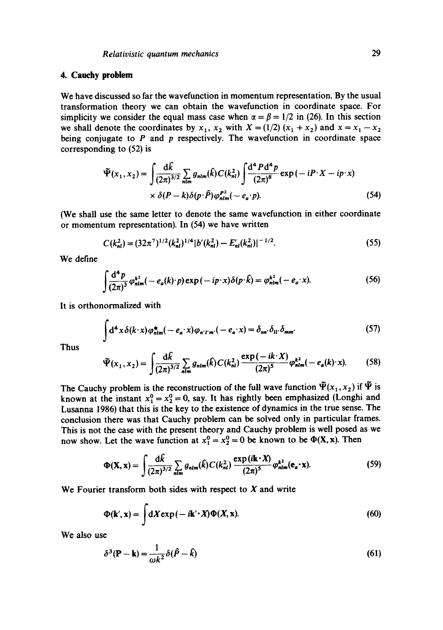### **4. Cauehy problem**

We have discussed so far the wavefunction in momentum representation. By the usual transformation theory we can obtain the wavefunction in coordinate space. For simplicity we consider the equal mass case when  $\alpha = \beta = 1/2$  in (26). In this section we shall denote the coordinates by  $x_1$ ,  $x_2$  with  $X = (1/2) (x_1 + x_2)$  and  $x = x_1 - x_2$ being conjugate to  $P$  and  $p$  respectively. The wavefunction in coordinate space corresponding to (52) is

$$
\tilde{\Psi}(x_1, x_2) = \int \frac{d\hat{k}}{(2\pi)^{3/2}} \sum_{nlm} g_{nlm}(\hat{k}) C(k_{nl}^2) \int \frac{d^4 P d^4 p}{(2\pi)^8} \exp(-i P \cdot X - i p \cdot x)
$$
  
 
$$
\times \delta(P - k) \delta(p \cdot \hat{P}) \varphi_{nlm}^{P2}(-e_a \cdot p). \tag{54}
$$

(We shall use the same letter to denote the same wavefunction in either coordinate or momentum representation). In (54) we have written

$$
C(k_{nl}^2) = (32\pi^7)^{1/2} (k_{nl}^2)^{1/4} |b'(k_{nl}^2) - E'_{nl}(k_{nl}^2)|^{-1/2}.
$$
 (55)

We define

$$
\int \frac{\mathrm{d}^4 p}{(2\pi)^3} \varphi_{\text{nlm}}^{k^2}(-e_a(k) \cdot p) \exp(-ip \cdot x) \delta(p \cdot \hat{k}) = \varphi_{\text{nlm}}^{k^2}(-e_a \cdot x). \tag{56}
$$

It is orthonormalized with

$$
\int d^4x \delta(k \cdot x) \varphi_{nlm}^* (-e_a \cdot x) \varphi_{n'l'm'} (-e_a \cdot x) = \delta_{nn'} \delta_{ll'} \delta_{mm'}
$$
 (57)

Thus

$$
\tilde{\Psi}(x_1, x_2) = \int \frac{d\hat{k}}{(2\pi)^{3/2}} \sum_{n \text{lim}} g_{nlm}(\hat{k}) C(k_{nl}^2) \frac{\exp(-ik \cdot X)}{(2\pi)^5} \varphi_{nlm}^{k^2}(-e_a(k) \cdot x). \tag{58}
$$

The Cauchy problem is the reconstruction of the full wave function  $\tilde{\Psi}(x_1, x_2)$  if  $\tilde{\Psi}$  is known at the instant  $x_1^0 = x_2^0 = 0$ , say. It has rightly been emphasized (Longhi and Lusanna 1986) that this is the key to the existence of dynamics in the true sense. The conclusion there was that Cauchy problem can be solved only in particular frames. This is not the case with the present theory and Cauchy problem is well posed as we now show. Let the wave function at  $x_1^0 = x_2^0 = 0$  be known to be  $\Phi(X, x)$ . Then

$$
\Phi(\mathbf{X}, \mathbf{x}) = \int \frac{d\hat{k}}{(2\pi)^{3/2}} \sum_{nlm} g_{nlm}(\hat{k}) C(k_{nl}^2) \frac{\exp(i\mathbf{k} \cdot \mathbf{X})}{(2\pi)^5} \varphi_{nlm}^{k^2}(\mathbf{e}_a \cdot \mathbf{x}). \tag{59}
$$

We Fourier transform both sides with respect to  $X$  and write

$$
\Phi(\mathbf{k}', \mathbf{x}) = \int dX \exp(-i\mathbf{k}' \cdot X) \Phi(X, \mathbf{x}). \tag{60}
$$

We also use

$$
\delta^3(\mathbf{P} - \mathbf{k}) = \frac{1}{\omega k^2} \delta(\hat{P} - \hat{k})
$$
\n(61)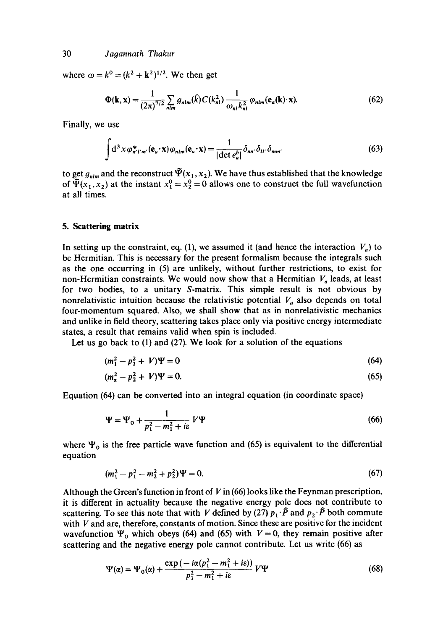where  $\omega = k^0 = (k^2 + k^2)^{1/2}$ . We then get

$$
\Phi(\mathbf{k}, \mathbf{x}) = \frac{1}{(2\pi)^{7/2}} \sum_{nlm} g_{nlm}(\hat{k}) C(k_{nl}^2) \frac{1}{\omega_{nl} k_{nl}^2} \varphi_{nlm}(\mathbf{e}_a(\mathbf{k}) \cdot \mathbf{x}). \tag{62}
$$

Finally, we use

$$
\int d^3 x \, \varphi_{n'l'm'}^*(\mathbf{e}_a \cdot \mathbf{x}) \, \varphi_{nlm}(\mathbf{e}_a \cdot \mathbf{x}) = \frac{1}{|\det e_a^b|} \, \delta_{nn'} \, \delta_{ll'} \, \delta_{mm'} \tag{63}
$$

to get  $g_{nlm}$  and the reconstruct  $\Psi(x_1, x_2)$ . We have thus established that the knowledge of  $\Psi(x_1, x_2)$  at the instant  $x_1^0 = x_2^0 = 0$  allows one to construct the full wavefunction at all times.

### **5. Scattering matrix**

In setting up the constraint, eq. (1), we assumed it (and hence the interaction  $V_a$ ) to be Hermitian. This is necessary for the present formalism because the integrals such as the one occurring in (5) are unlikely, without further restrictions, to exist for non-Hermitian constraints. We would now show that a Hermitian  $V_a$  leads, at least for two bodies, to a unitary S-matrix. This simple result is not obvious by nonrelativistic intuition because the relativistic potential  $V_a$  also depends on total four-momentum squared. Also, we shall show that as in nonrelativistic mechanics and unlike in field theory, scattering takes place only via positive energy intermediate states, a result that remains valid when spin is included.

Let us go back to (1) and (27). We look for a solution of the equations

$$
(m_1^2 - p_1^2 + V)\Psi = 0 \tag{64}
$$

$$
(m_{\alpha}^2 - p_2^2 + V)\Psi = 0. \tag{65}
$$

Equation (64) can be converted into an integral equation (in coordinate space)

$$
\Psi = \Psi_0 + \frac{1}{p_1^2 - m_1^2 + i\varepsilon} V \Psi \tag{66}
$$

where  $\Psi_0$  is the free particle wave function and (65) is equivalent to the differential equation

$$
(m_1^2 - p_1^2 - m_2^2 + p_2^2)\Psi = 0. \tag{67}
$$

Although the Green's function in front of  $V$  in (66) looks like the Feynman prescription, it is different in actuality because the negative energy pole does not contribute to scattering. To see this note that with V defined by (27)  $p_1 \cdot \hat{P}$  and  $p_2 \cdot \hat{P}$  both commute with  $V$  and are, therefore, constants of motion. Since these are positive for the incident wavefunction  $\Psi_0$  which obeys (64) and (65) with  $V = 0$ , they remain positive after scattering and the negative energy pole cannot contribute. Let us write (66) as

$$
\Psi(\alpha) = \Psi_0(\alpha) + \frac{\exp(-i\alpha(p_1^2 - m_1^2 + i\epsilon))}{p_1^2 - m_1^2 + i\epsilon} V\Psi
$$
\n(68)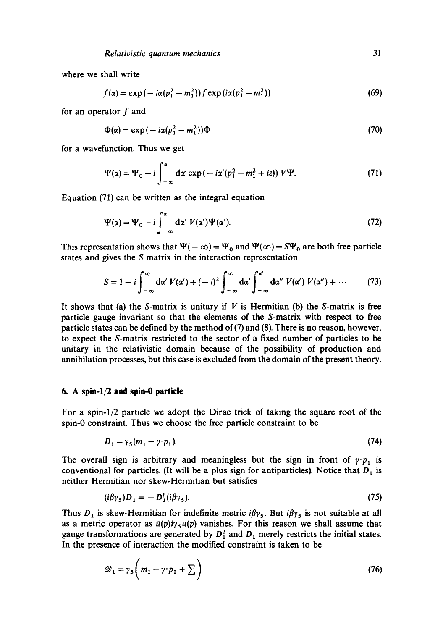where we shall write

$$
f(\alpha) = \exp(-i\alpha(p_1^2 - m_1^2)) f \exp(i\alpha(p_1^2 - m_1^2))
$$
 (69)

for an operator  $f$  and

$$
\Phi(\alpha) = \exp(-i\alpha(p_1^2 - m_1^2))\Phi \tag{70}
$$

for a wavefunction. Thus we get

$$
\Psi(\alpha) = \Psi_0 - i \int_{-\infty}^{\alpha} d\alpha' \exp(-i\alpha' (p_1^2 - m_1^2 + i\epsilon)) V \Psi.
$$
 (71)

Equation (71) can be written as the integral equation

$$
\Psi(\alpha) = \Psi_0 - i \int_{-\infty}^{\alpha} d\alpha' V(\alpha') \Psi(\alpha'). \tag{72}
$$

This representation shows that  $\Psi(-\infty) = \Psi_0$  and  $\Psi(\infty) = S\Psi_0$  are both free particle states and gives the S matrix in the interaction representation

$$
S = 1 - i \int_{-\infty}^{\infty} d\alpha' V(\alpha') + (-i)^2 \int_{-\infty}^{\infty} d\alpha' \int_{-\infty}^{\alpha'} d\alpha'' V(\alpha') V(\alpha'') + \cdots \qquad (73)
$$

It shows that (a) the S-matrix is unitary if  $V$  is Hermitian (b) the S-matrix is free particle gauge invariant so that the elements of the S-matrix with respect to free particle states can be defined by the method of  $(7)$  and  $(8)$ . There is no reason, however, to expect the S-matrix restricted to the sector of a fixed number of particles to be unitary in the relativistic domain because of the possibility of production and annihilation processes, but this case is excluded from the domain of the present theory.

### **6. A spin-l/2 and spin-0 particle**

For a spin-l/2 particle we adopt the Dirac trick of taking the square root of the spin-0 constraint. Thus we choose the free particle constraint to be

$$
D_1 = \gamma_5 (m_1 - \gamma \cdot p_1). \tag{74}
$$

The overall sign is arbitrary and meaningless but the sign in front of  $\gamma \cdot p_1$  is conventional for particles. (It will be a plus sign for antiparticles). Notice that  $D_1$  is neither Hermitian nor skew-Hermitian but satisfies

$$
(i\beta\gamma_5)D_1 = -D_1^{\dagger}(i\beta\gamma_5). \tag{75}
$$

Thus  $D_1$  is skew-Hermitian for indefinite metric  $i\beta\gamma_5$ . But  $i\beta\gamma_5$  is not suitable at all as a metric operator as  $\bar{u}(p)i\gamma_5u(p)$  vanishes. For this reason we shall assume that gauge transformations are generated by  $D_1^2$  and  $D_1$  merely restricts the initial states. In the presence of interaction the modified constraint is taken to be

$$
\mathscr{D}_1 = \gamma_5 \bigg( m_1 - \gamma \cdot p_1 + \sum \bigg) \tag{76}
$$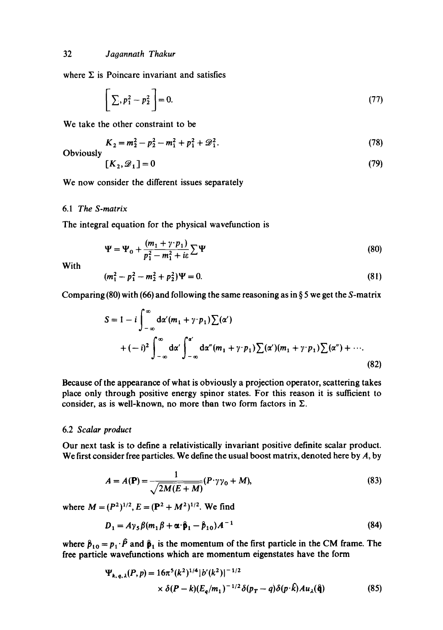where  $\Sigma$  is Poincare invariant and satisfies

$$
\left[\sum_{i} p_1^2 - p_2^2\right] = 0. \tag{77}
$$

We take the other constraint to be

$$
K_2 = m_2^2 - p_2^2 - m_1^2 + p_1^2 + \mathcal{D}_1^2. \tag{78}
$$

Obviously

$$
[K_2, \mathcal{D}_1] = 0 \tag{79}
$$

We now consider the different issues separately

### 6.1 *The S-matrix*

The integral equation for the physical wavefunction is

$$
\Psi = \Psi_0 + \frac{(m_1 + \gamma \cdot p_1)}{p_1^2 - m_1^2 + i\epsilon} \sum \Psi
$$
\n(80)

With

$$
(m_1^2 - p_1^2 - m_2^2 + p_2^2)\Psi = 0. \tag{81}
$$

Comparing (80) with (66) and following the same reasoning as in  $\S 5$  we get the S-matrix

$$
S = 1 - i \int_{-\infty}^{\infty} d\alpha' (m_1 + \gamma \cdot p_1) \sum(\alpha') \newline + (-i)^2 \int_{-\infty}^{\infty} d\alpha' \int_{-\infty}^{\alpha'} d\alpha'' (m_1 + \gamma \cdot p_1) \sum(\alpha') (m_1 + \gamma \cdot p_1) \sum(\alpha'') + \cdots
$$
\n(82)

Because of the appearance of what is obviously a projection operator, scattering takes place only through positive energy spinor states. For this reason it is sufficient to consider, as is well-known, no more than two form factors in  $\Sigma$ .

#### 6.2 *Scalar product*

Our next task is to define a relativistically invariant positive definite scalar product. We first consider free particles. We define the usual boost matrix, denoted here by  $A$ , by

$$
A = A(\mathbf{P}) = \frac{1}{\sqrt{2M(E+M)}} (P \cdot \gamma \gamma_0 + M), \tag{83}
$$

where  $M = (P^2)^{1/2}$ ,  $E = (P^2 + M^2)^{1/2}$ . We find

$$
D_1 = A\gamma_5 \beta (m_1 \beta + \alpha \cdot \hat{\mathbf{p}}_1 - \hat{\mathbf{p}}_{10}) A^{-1}
$$
\n(84)

where  $\hat{p}_{10} = p_1 \cdot \hat{P}$  and  $\hat{p}_1$  is the momentum of the first particle in the CM frame. The free particle wavefunctions which are momentum eigenstates have the form

$$
\Psi_{k,q,\lambda}(P,p) = 16\pi^5 (k^2)^{1/4} |b'(k^2)|^{-1/2}
$$
  
 
$$
\times \delta(P-k) (E_q/m_1)^{-1/2} \delta(p_T-q) \delta(p \cdot k) Au_\lambda(\hat{\mathbf{q}})
$$
 (85)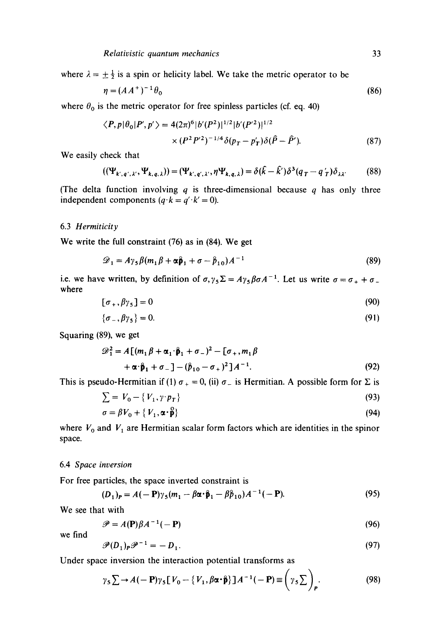where  $\lambda = \pm \frac{1}{2}$  is a spin or helicity label. We take the metric operator to be

$$
\eta = (AA^+)^{-1} \theta_0 \tag{86}
$$

where  $\theta_0$  is the metric operator for free spinless particles (cf. eq. 40)

$$
\langle P, p | \theta_0 | P', p' \rangle = 4(2\pi)^6 |b'(P^2)|^{1/2} |b'(P^2)|^{1/2}
$$
  
 
$$
\times (P^2 P'^2)^{-1/4} \delta(p_T - p'_T) \delta(\hat{P} - \hat{P}'). \tag{87}
$$

We easily check that

$$
((\Psi_{k',q',\lambda'}, \Psi_{k,q,\lambda})) = (\Psi_{k',q',\lambda'}, \eta \Psi_{k,q,\lambda}) = \delta(\hat{k} - \hat{k}')\delta^3(q_T - q'_T)\delta_{\lambda \lambda'} \tag{88}
$$

(The delta function involving q is three-dimensional because q has only three independent components  $(q \cdot k = q' \cdot k' = 0)$ .

### 6.3 *Hermiticity*

We write the full constraint (76) as in (84). We get

$$
\mathcal{D}_1 = A\gamma_5 \beta (m_1 \beta + \alpha \beta_1 + \sigma - \beta_{10}) A^{-1}
$$
\n(89)

i.e. we have written, by definition of  $\sigma, \gamma_5 \Sigma = A \gamma_5 \beta \sigma A^{-1}$ . Let us write  $\sigma = \sigma_+ + \sigma_$ where

$$
[\sigma_+,\beta\gamma_5]=0\tag{90}
$$

$$
\{\sigma_-,\beta\gamma_5\}=0.\tag{91}
$$

Squaring (89), we get

$$
\mathcal{D}_1^2 = A [(m_1 \beta + \alpha_1 \cdot \hat{\beta}_1 + \sigma_-)^2 - [\sigma_+, m_1 \beta
$$
  
+  $\alpha \cdot \hat{\beta}_1 + \sigma_- ] - (\hat{\beta}_{10} - \sigma_+)^2] A^{-1}.$  (92)

This is pseudo-Hermitian if (1)  $\sigma_{+} = 0$ , (ii)  $\sigma_{-}$  is Hermitian. A possible form for  $\Sigma$  is

$$
\sum = V_0 - \{V_1, \gamma \cdot p_T\} \tag{93}
$$

$$
\sigma = \beta V_0 + \{V_1, \alpha \cdot \beta\} \tag{94}
$$

where  $V_0$  and  $V_1$  are Hermitian scalar form factors which are identities in the spinor space.

#### 6.4 *Space inversion*

For free particles, the space inverted constraint is

$$
(D_1)_P = A(-P)\gamma_5(m_1 - \beta\alpha \cdot \hat{\mathbf{p}}_1 - \beta\beta_{10})A^{-1}(-P). \tag{95}
$$

We see that with

$$
\mathscr{P} = A(\mathbf{P})\beta A^{-1}(-\mathbf{P})\tag{96}
$$

we find

$$
\mathcal{P}(D_1)_P \mathcal{P}^{-1} = -D_1. \tag{97}
$$

Under space inversion the interaction potential transforms as

$$
\gamma_{\mathsf{S}} \sum \rightarrow A(-\mathbf{P}) \gamma_{\mathsf{S}} \left[ V_{0} - \{ V_{1}, \beta \alpha \cdot \hat{\mathbf{p}} \} \right] A^{-1}(-\mathbf{P}) \equiv \left( \gamma_{\mathsf{S}} \sum \right)_{\mathbf{P}}.
$$
 (98)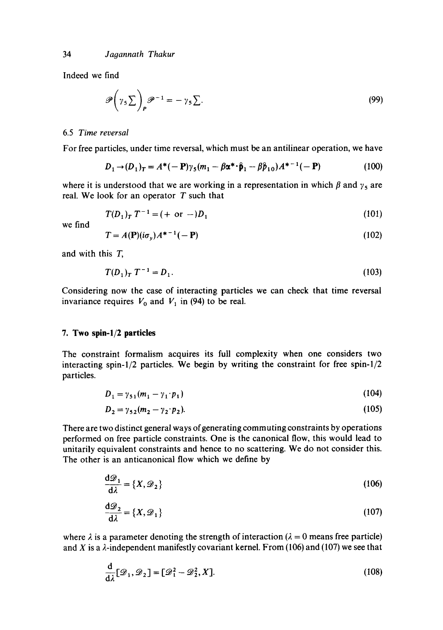Indeed we find

$$
\mathscr{P}\left(\gamma_5 \sum\right)_P \mathscr{P}^{-1} = -\gamma_5 \sum. \tag{99}
$$

#### 6.5 *Time reversal*

For free particles, under time reversal, which must be an antilinear operation, we have

$$
D_1 \to (D_1)_T = A^*(-\mathbf{P})\gamma_5(m_1 - \beta \alpha^* \cdot \hat{\mathbf{p}}_1 - \beta \hat{\mathbf{p}}_{10})A^{*-1}(-\mathbf{P})
$$
(100)

where it is understood that we are working in a representation in which  $\beta$  and  $\gamma_5$  are real. We look for an operator  $T$  such that

$$
T(D_1)_T T^{-1} = (+ \text{ or } -)D_1 \tag{101}
$$

we find

$$
T = A(\mathbf{P})(i\sigma_y)A^{*-1}(-\mathbf{P})
$$
\n(102)

and with this **T,** 

$$
T(D_1)_T T^{-1} = D_1. \tag{103}
$$

Considering now the case of interacting particles we can check that time reversal invariance requires  $V_0$  and  $V_1$  in (94) to be real.

### **7. Two spin-l/2 particles**

The constraint formalism acquires its full complexity when one considers two interacting spin- $1/2$  particles. We begin by writing the constraint for free spin- $1/2$ particles.

$$
D_1 = \gamma_{51}(m_1 - \gamma_1 \cdot p_1) \tag{104}
$$

$$
D_2 = \gamma_{52}(m_2 - \gamma_2 \cdot p_2). \tag{105}
$$

There are two distinct general ways of generating commuting constraints by operations performed on free particle constraints. One is the canonical flow, this would lead to unitarily equivalent constraints and hence to no scattering. We do not consider this. The other is an anticanonical flow which we define by

$$
\frac{\mathrm{d}\mathcal{D}_1}{\mathrm{d}\lambda} = \{X, \mathcal{D}_2\} \tag{106}
$$

$$
\frac{d\mathcal{D}_2}{d\lambda} = \{X, \mathcal{D}_1\}
$$
 (107)

where  $\lambda$  is a parameter denoting the strength of interaction ( $\lambda = 0$  means free particle) and X is a  $\lambda$ -independent manifestly covariant kernel. From (106) and (107) we see that

$$
\frac{\mathrm{d}}{\mathrm{d}\lambda}[\mathcal{D}_1, \mathcal{D}_2] = [\mathcal{D}_1^2 - \mathcal{D}_2^2, X]. \tag{108}
$$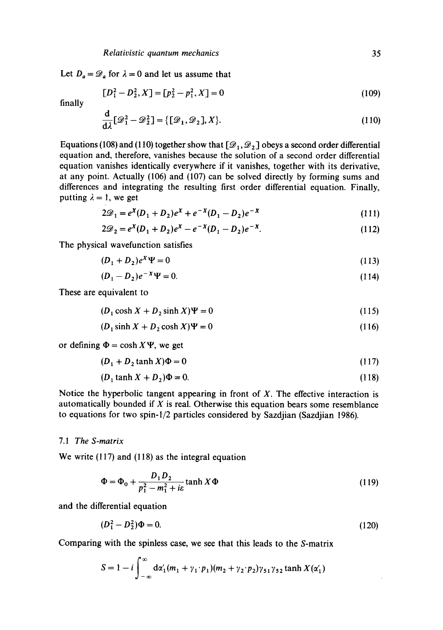Let  $D_a = \mathcal{D}_a$  for  $\lambda = 0$  and let us assume that

$$
[D_1^2 - D_2^2, X] = [p_2^2 - p_1^2, X] = 0
$$
\n(109)

finally

$$
\frac{\mathrm{d}}{\mathrm{d}\lambda}[\mathscr{D}_1^2 - \mathscr{D}_2^2] = \{[\mathscr{D}_1, \mathscr{D}_2], X\}.
$$
\n(110)

Equations (108) and (110) together show that  $[2, 2, 2]$  obeys a second order differential equation and, therefore, vanishes because the solution of a second order differential equation vanishes identically everywhere if it vanishes, together with its derivative, at any point. Actually (106) and (107) can be solved directly by forming sums and differences and integrating the resulting first order differential equation. Finally, putting  $\lambda = 1$ , we get

$$
2\mathcal{D}_1 = e^X (D_1 + D_2) e^X + e^{-X} (D_1 - D_2) e^{-X}
$$
\n(111)

$$
2\mathcal{D}_2 = e^X (D_1 + D_2) e^X - e^{-X} (D_1 - D_2) e^{-X}.
$$
 (112)

The physical wavefunction satisfies

$$
(D_1 + D_2)e^x \Psi = 0 \tag{113}
$$

$$
(D_1 - D_2)e^{-X}\Psi = 0. \t(114)
$$

These are equivalent to

$$
(D_1 \cosh X + D_2 \sinh X)\Psi = 0
$$
\n(115)

$$
(D_1 \sinh X + D_2 \cosh X)\Psi = 0 \tag{116}
$$

or defining  $\Phi = \cosh X \Psi$ , we get

$$
(D_1 + D_2 \tanh X)\Phi = 0\tag{117}
$$

$$
(D_1 \tanh X + D_2)\Phi = 0. \tag{118}
$$

Notice the hyperbolic tangent appearing in front of  $X$ . The effective interaction is automatically bounded if  $X$  is real. Otherwise this equation bears some resemblance to equations for two spin-l/2 particles considered by Sazdjian (Sazdjian 1986).

# *7.1 The S-matrix*

We write (117) and (118) as the integral equation

$$
\Phi = \Phi_0 + \frac{D_1 D_2}{p_1^2 - m_1^2 + i\epsilon} \tanh X \Phi
$$
\n(119)

and the differential equation

$$
(D_1^2 - D_2^2)\Phi = 0.\t(120)
$$

Comparing with the spinless case, we see that this leads to the S-matrix

$$
S = 1 - i \int_{-\infty}^{\infty} d\alpha'_1(m_1 + \gamma_1 \cdot p_1)(m_2 + \gamma_2 \cdot p_2)\gamma_{51}\gamma_{52} \tanh X(\alpha'_1)
$$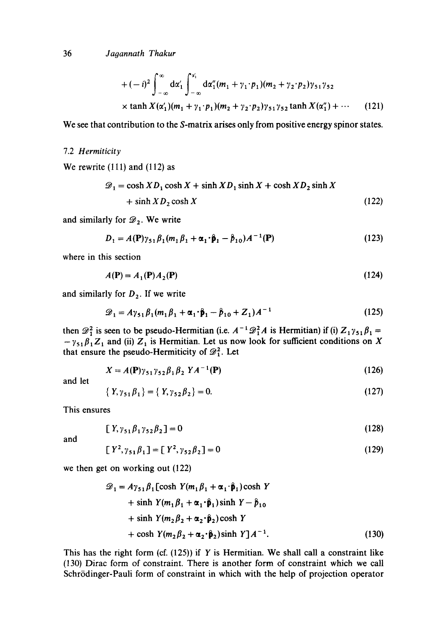36 *Jagannath Thakur* 

+ 
$$
(-i)^2 \int_{-\infty}^{\infty} d\alpha'_1 \int_{-\infty}^{\alpha'_1} d\alpha''_1(m_1 + \gamma_1 \cdot p_1)(m_2 + \gamma_2 \cdot p_2) \gamma_{51} \gamma_{52}
$$
  
×  $\tanh X(\alpha'_1)(m_1 + \gamma_1 \cdot p_1)(m_2 + \gamma_2 \cdot p_2) \gamma_{51} \gamma_{52} \tanh X(\alpha''_1) + \cdots$  (121)

We see that contribution to the S-matrix arises only from positive energy spinor states.

#### 7.2 *Herrniticity*

We rewrite (111) and (112) as

$$
\mathcal{D}_1 = \cosh X D_1 \cosh X + \sinh X D_1 \sinh X + \cosh X D_2 \sinh X
$$
  
+ sinh X D<sub>2</sub> cosh X (122)

and similarly for  $\mathcal{D}_2$ . We write

$$
D_1 = A(\mathbf{P})\gamma_{51}\beta_1(m_1\beta_1 + \alpha_1 \cdot \hat{\mathbf{p}}_1 - \hat{p}_{10})A^{-1}(\mathbf{P})
$$
\n(123)

where in this section

$$
A(\mathbf{P}) = A_1(\mathbf{P})A_2(\mathbf{P})
$$
\n<sup>(124)</sup>

and similarly for  $D_2$ . If we write

$$
\mathcal{D}_1 = A\gamma_{51}\beta_1(m_1\beta_1 + \alpha_1 \cdot \hat{\mathbf{p}}_1 - \hat{\mathbf{p}}_{10} + Z_1)A^{-1} \tag{125}
$$

then  $\mathscr{D}_1^2$  is seen to be pseudo-Hermitian (i.e.  $A^{-1}\mathscr{D}_1^2A$  is Hermitian) if (i)  $Z_1\gamma_{51}\beta_1 =$  $-\gamma_{51}\beta_1Z_1$  and (ii)  $Z_1$  is Hermitian. Let us now look for sufficient conditions on X that ensure the pseudo-Hermiticity of  $\mathscr{D}_1^2$ . Let

$$
X = A(\mathbf{P})\gamma_{51}\gamma_{52}\beta_1\beta_2 \;YA^{-1}(\mathbf{P}) \tag{126}
$$

and let

$$
\{Y, \gamma_{51}\beta_1\} = \{Y, \gamma_{52}\beta_2\} = 0. \tag{127}
$$

This ensures

$$
[Y_{1}Y_{51}\beta_{1}Y_{52}\beta_{2}] = 0 \tag{128}
$$

and

$$
[Y^2, \gamma_{51}\beta_1] = [Y^2, \gamma_{52}\beta_2] = 0 \tag{129}
$$

we then get on working out (122)

$$
\mathcal{D}_1 = A\gamma_{51}\beta_1 \left[\cosh Y(m_1\beta_1 + \alpha_1 \cdot \hat{\mathbf{p}}_1)\cosh Y\right] + \sinh Y(m_1\beta_1 + \alpha_1 \cdot \hat{\mathbf{p}}_1)\sinh Y - \hat{p}_{10} + \sinh Y(m_2\beta_2 + \alpha_2 \cdot \hat{\mathbf{p}}_2)\cosh Y + \cosh Y(m_2\beta_2 + \alpha_2 \cdot \hat{\mathbf{p}}_2)\sinh Y]A^{-1}.
$$
 (130)

This has the right form (cf.  $(125)$ ) if Y is Hermitian. We shall call a constraint like (130) Dirac form of constraint. There is another form of constraint which we call Schrödinger-Pauli form of constraint in which with the help of projection operator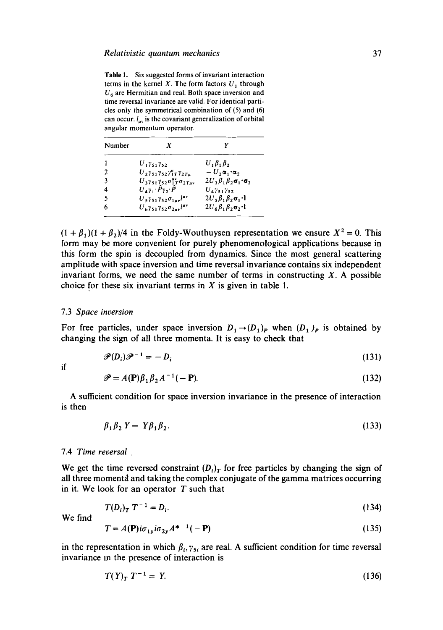Table 1. Six suggested forms of invariant interaction terms in the kernel X. The form factors  $U_1$  through  $U<sub>6</sub>$  are Hermitian and real. Both space inversion and time reversal invariance are valid. For identical particles only the symmetrical combination of (5) and (6) can occur,  $l_{\mu\nu}$  is the covariant generalization of orbital angular momentum operator.

| Number | X                                                                    |                                             |
|--------|----------------------------------------------------------------------|---------------------------------------------|
|        | $U_1 \gamma_{51} \gamma_{52}$                                        | $U, \beta, \beta,$                          |
| 2      | $U_2 \gamma_{51} \gamma_{52} \gamma_1^{\mu} \gamma_2 \gamma_4$       | $-U$ , $\alpha$ , $\alpha$                  |
| 3      | $U_3 \gamma_{51} \gamma_{52} \sigma_{1T}^{\mu\nu} \sigma_{2T\mu\nu}$ | $2U_1\beta_1\beta_2\sigma_1\sigma_2$        |
|        | $U_A \gamma_1 \cdot \hat{P} \gamma_2 \cdot \hat{P}$                  | $U_4 \gamma_{51} \gamma_{52}$               |
| 5      | $U_5 \gamma_{51} \gamma_{52} \sigma_{1\mu\nu} l^{\mu\nu}$            | $2U_5\beta_1\beta_2\sigma_1\cdot$           |
|        | $U_6 \gamma_{51} \gamma_{52} \sigma_{2\mu\nu} l^{\mu\nu}$            | $2U_6\beta_1\beta_2\sigma_2\cdot\mathbf{I}$ |

 $(1 + \beta_1)(1 + \beta_2)/4$  in the Foldy-Wouthuysen representation we ensure  $X^2 = 0$ . This form may be more convenient for purely phenomenological applications because in this form the spin is decoupled from dynamics. Since the most general scattering amplitude with space inversion and time reversal invariance contains six independent invariant forms, we need the same number of terms in constructing  $X$ . A possible choice for these six invariant terms in  $X$  is given in table 1.

#### 7.3 *Space inversion*

For free particles, under space inversion  $D_1 \rightarrow (D_1)_P$  when  $(D_1)_P$  is obtained by changing the sign of all three momenta. It is easy to check that

$$
\mathcal{P}(D_i)\mathcal{P}^{-1} = -D_i \tag{131}
$$

if

$$
\mathscr{P} = A(\mathbf{P})\beta_1\beta_2A^{-1}(-\mathbf{P}).\tag{132}
$$

A sufficient condition for space inversion invariance in the presence of interaction is then

$$
\beta_1 \beta_2 Y = Y \beta_1 \beta_2. \tag{133}
$$

#### 7.4 *Time reversal .*

We get the time reversed constraint  $(D_i)_T$  for free particles by changing the sign of all three momentd and taking the complex conjugate of the gamma matrices occurring in it. We look for an operator  $T$  such that

$$
T(D_i)_T T^{-1} = D_i.
$$
 (134)

We find

$$
T = A(\mathbf{P})i\sigma_{1y}i\sigma_{2y}A^{*-1}(-\mathbf{P})
$$
\n(135)

in the representation in which  $\beta_i, \gamma_{5i}$  are real. A sufficient condition for time reversal invariance m the presence of interaction is

$$
T(Y)_T T^{-1} = Y.
$$
 (136)